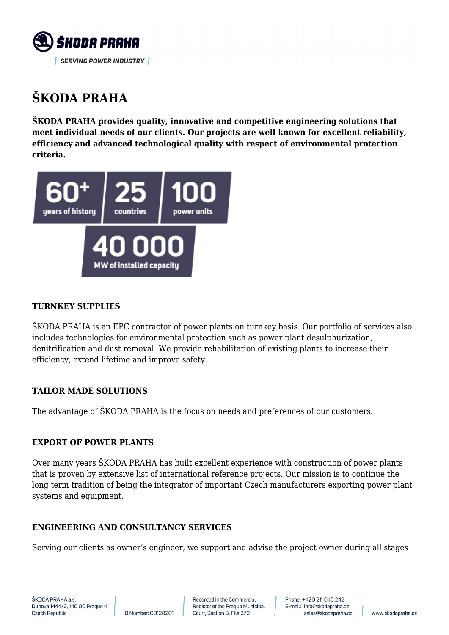

# **ŠKODA PRAHA**

**ŠKODA PRAHA provides quality, innovative and competitive engineering solutions that meet individual needs of our clients. Our projects are well known for excellent reliability, efficiency and advanced technological quality with respect of environmental protection criteria.**



## **TURNKEY SUPPLIES**

ŠKODA PRAHA is an EPC contractor of power plants on turnkey basis. Our portfolio of services also includes technologies for environmental protection such as power plant desulphurization, denitrification and dust removal. We provide rehabilitation of existing plants to increase their efficiency, extend lifetime and improve safety.

## **TAILOR MADE SOLUTIONS**

The advantage of ŠKODA PRAHA is the focus on needs and preferences of our customers.

## **EXPORT OF POWER PLANTS**

Over many years ŠKODA PRAHA has built excellent experience with construction of power plants that is proven by extensive list of international reference projects. Our mission is to continue the long term tradition of being the integrator of important Czech manufacturers exporting power plant systems and equipment.

## **ENGINEERING AND CONSULTANCY SERVICES**

Serving our clients as owner's engineer, we support and advise the project owner during all stages